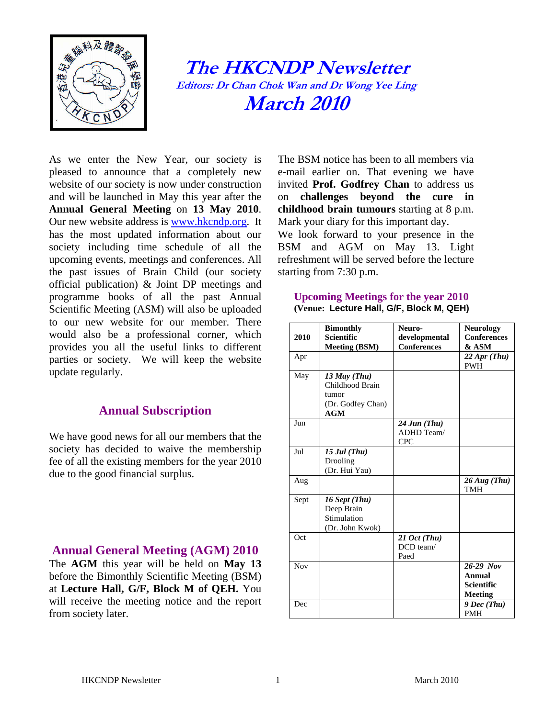

**The HKCNDP Newsletter Editors: Dr Chan Chok W n and D Wong Ye Ling a r e March 2010**

As we enter the New Year, our society is pleased to announce that a completely new website of our society is now under construction and will be launched in May this year after the **Annual General Meeting** on **13 May 2010**. Our new website address is [www.hkcndp.org.](http://www.hkcndp.org/) It has the most updated information about our society including time schedule of all the upcoming events, meetings and conferences. All the past issues of Brain Child (our society official publication) & Joint DP meetings and programme books of all the past Annual Scientific Meeting (ASM) will also be uploaded to our new website for our member. There would also be a professional corner, which provides you all the useful links to different parties or society. We will keep the website update regularly.

## **Annual Subscription**

We have good news for all our members that the society has decided to waive the membership fee of all the existing members for the year 2010 due to the good financial surplus.

## **Annual General Meeting (AGM) 2010**

The **AGM** this year will be held on **May 13**  before the Bimonthly Scientific Meeting (BSM) at **Lecture Hall, G/F, Block M of QEH.** You will receive the meeting notice and the report from society later.

The BSM notice has been to all members via e-mail earlier on. That evening we have invited **Prof. Godfrey Chan** to address us on **challenges beyond the cure in childhood brain tumours** starting at 8 p.m. Mark your diary for this important day.

We look forward to your presence in the BSM and AGM on May 13. Light refreshment will be served before the lecture starting from 7:30 p.m.

#### **Upcoming Meetings for the year 2010 (Venue: Lecture Hall, G/F, Block M, QEH)**

| 2010       | <b>Bimonthly</b><br><b>Scientific</b>                                  | Neuro-<br>developmental                              | <b>Neurology</b><br><b>Conferences</b>                |
|------------|------------------------------------------------------------------------|------------------------------------------------------|-------------------------------------------------------|
| Apr        | <b>Meeting (BSM)</b>                                                   | <b>Conferences</b>                                   | & ASM<br>$22$ Apr (Thu)<br><b>PWH</b>                 |
| May        | $13$ May (Thu)<br>Childhood Brain<br>tumor<br>(Dr. Godfey Chan)<br>AGM |                                                      |                                                       |
| Jun        |                                                                        | $24 \, \text{Jun (Thu)}$<br>ADHD Team/<br><b>CPC</b> |                                                       |
| Jul        | $15$ Jul (Thu)<br>Drooling<br>(Dr. Hui Yau)                            |                                                      |                                                       |
| Aug        |                                                                        |                                                      | $26 \, Aug (Thu)$<br>TMH                              |
| Sept       | 16 Sept (Thu)<br>Deep Brain<br>Stimulation<br>(Dr. John Kwok)          |                                                      |                                                       |
| Oct        |                                                                        | $21 \text{ Oct } (Thu)$<br>DCD team/<br>Paed         |                                                       |
| <b>Nov</b> |                                                                        |                                                      | $26-29$ Nov<br>Annual<br>Scientific<br><b>Meeting</b> |
| Dec        |                                                                        |                                                      | $9 Dec$ (Thu)<br><b>PMH</b>                           |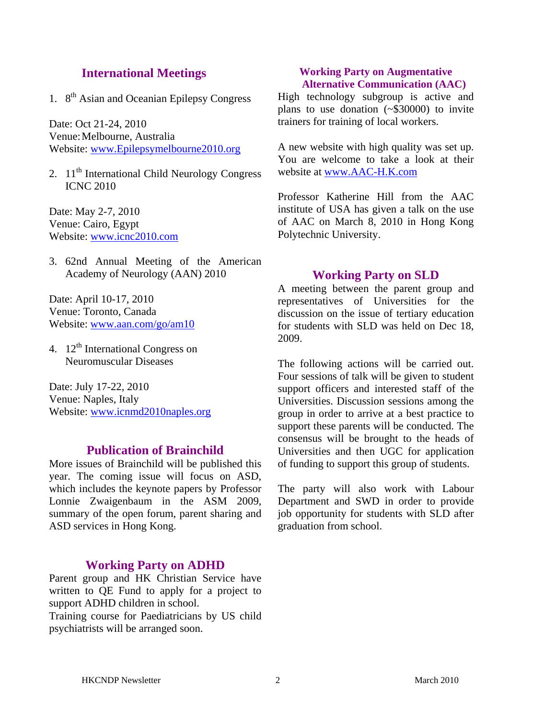## **International Meetings**

1.  $8<sup>th</sup>$  Asian and Oceanian Epilepsy Congress

Date: Oct 21-24, 2010 Venue: Melbourne, Australia Website: [www.Epilepsymelbourne2010.org](http://www.epilepsymelbourne2010.org/)

2.  $11<sup>th</sup>$  International Child Neurology Congress ICNC 2010

Date: May 2-7, 2010 Venue: Cairo, Egypt Website: [www.icnc2010.com](http://www.icnc2010.com/)

3. 62nd Annual Meeting of the American Academy of Neurology (AAN) 2010

Date: April 10-17, 2010 Venue: Toronto, Canada Website: [www.aan.com/go/am10](http://www.aan.com/go/am10)

4.  $12<sup>th</sup>$  International Congress on Neuromuscular Diseases

Date: July 17-22, 2010 Venue: Naples, Italy Website: [www.icnmd2010naples.org](http://www.icnmd2010naples.org/)

# **Publication of Brainchild**

More issues of Brainchild will be published this year. The coming issue will focus on ASD, which includes the keynote papers by Professor Lonnie Zwaigenbaum in the ASM 2009, summary of the open forum, parent sharing and ASD services in Hong Kong.

### **Working Party on ADHD**

Parent group and HK Christian Service have written to QE Fund to apply for a project to support ADHD children in school. Training course for Paediatricians by US child psychiatrists will be arranged soon.

#### **Working Party on Augmentative Alternative Communication (AAC)**

High technology subgroup is active and plans to use donation (~\$30000) to invite trainers for training of local workers.

A new website with high quality was set up. You are welcome to take a look at their website at [www.AAC-H.K.com](http://www.aac-h.k.com/)

Professor Katherine Hill from the AAC institute of USA has given a talk on the use of AAC on March 8, 2010 in Hong Kong Polytechnic University.

### **Working Party on SLD**

A meeting between the parent group and representatives of Universities for the discussion on the issue of tertiary education for students with SLD was held on Dec 18, 2009.

The following actions will be carried out. Four sessions of talk will be given to student support officers and interested staff of the Universities. Discussion sessions among the group in order to arrive at a best practice to support these parents will be conducted. The consensus will be brought to the heads of Universities and then UGC for application of funding to support this group of students.

The party will also work with Labour Department and SWD in order to provide job opportunity for students with SLD after graduation from school.